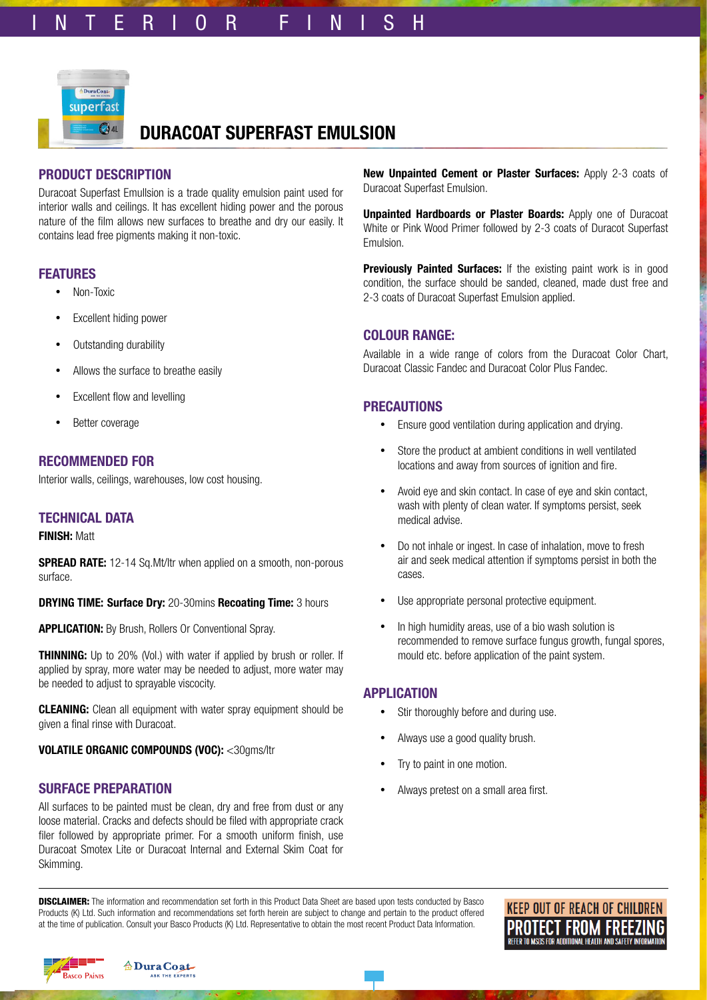

# **DURACOAT SUPERFAST EMULSION**

# **PRODUCT DESCRIPTION**

Duracoat Superfast Emullsion is a trade quality emulsion paint used for interior walls and ceilings. It has excellent hiding power and the porous nature of the film allows new surfaces to breathe and dry our easily. It contains lead free pigments making it non-toxic.

## **FEATURES**

- Non-Toxic
- Excellent hiding power
- Outstanding durability
- Allows the surface to breathe easily
- Excellent flow and levelling
- Better coverage

# **RECOMMENDED FOR**

Interior walls, ceilings, warehouses, low cost housing.

# **TECHNICAL DATA**

#### **FINISH:** Matt

**SPREAD RATE:** 12-14 Sq.Mt/ltr when applied on a smooth, non-porous surface.

**DRYING TIME: Surface Dry:** 20-30mins **Recoating Time:** 3 hours

**APPLICATION:** By Brush, Rollers Or Conventional Spray.

**THINNING:** Up to 20% (Vol.) with water if applied by brush or roller. If applied by spray, more water may be needed to adjust, more water may be needed to adjust to sprayable viscocity.

**CLEANING:** Clean all equipment with water spray equipment should be given a final rinse with Duracoat.

**VOLATILE ORGANIC COMPOUNDS (VOC):** <30gms/ltr

### **SURFACE PREPARATION**

All surfaces to be painted must be clean, dry and free from dust or any loose material. Cracks and defects should be filed with appropriate crack filer followed by appropriate primer. For a smooth uniform finish, use Duracoat Smotex Lite or Duracoat Internal and External Skim Coat for Skimming.

**New Unpainted Cement or Plaster Surfaces:** Apply 2-3 coats of Duracoat Superfast Emulsion.

**Unpainted Hardboards or Plaster Boards:** Apply one of Duracoat White or Pink Wood Primer followed by 2-3 coats of Duracot Superfast Emulsion.

**Previously Painted Surfaces:** If the existing paint work is in good condition, the surface should be sanded, cleaned, made dust free and 2-3 coats of Duracoat Superfast Emulsion applied.

## **COLOUR RANGE:**

Available in a wide range of colors from the Duracoat Color Chart, Duracoat Classic Fandec and Duracoat Color Plus Fandec.

# **PRECAUTIONS**

- Ensure good ventilation during application and drying.
- Store the product at ambient conditions in well ventilated locations and away from sources of ignition and fire.
- Avoid eye and skin contact. In case of eye and skin contact, wash with plenty of clean water. If symptoms persist, seek medical advise.
- Do not inhale or ingest. In case of inhalation, move to fresh air and seek medical attention if symptoms persist in both the cases.
- Use appropriate personal protective equipment.
- In high humidity areas, use of a bio wash solution is recommended to remove surface fungus growth, fungal spores, mould etc. before application of the paint system.

### **APPLICATION**

- Stir thoroughly before and during use.
- Always use a good quality brush.
- Try to paint in one motion.
- Always pretest on a small area first.

**DISCLAIMER:** The information and recommendation set forth in this Product Data Sheet are based upon tests conducted by Basco Products (K) Ltd. Such information and recommendations set forth herein are subject to change and pertain to the product offered at the time of publication. Consult your Basco Products (K) Ltd. Representative to obtain the most recent Product Data Information.